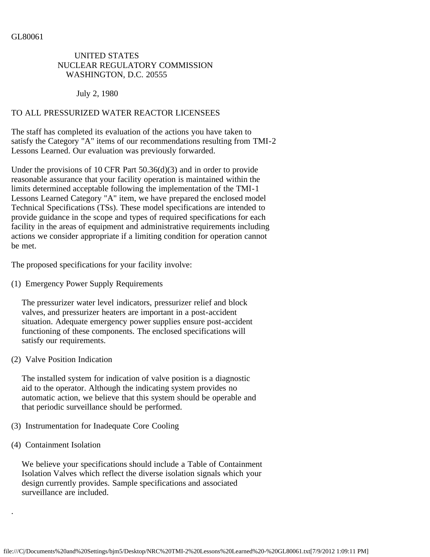# UNITED STATES NUCLEAR REGULATORY COMMISSION WASHINGTON, D.C. 20555

July 2, 1980

# TO ALL PRESSURIZED WATER REACTOR LICENSEES

The staff has completed its evaluation of the actions you have taken to satisfy the Category "A" items of our recommendations resulting from TMI-2 Lessons Learned. Our evaluation was previously forwarded.

Under the provisions of 10 CFR Part 50.36(d)(3) and in order to provide reasonable assurance that your facility operation is maintained within the limits determined acceptable following the implementation of the TMI-1 Lessons Learned Category "A" item, we have prepared the enclosed model Technical Specifications (TSs). These model specifications are intended to provide guidance in the scope and types of required specifications for each facility in the areas of equipment and administrative requirements including actions we consider appropriate if a limiting condition for operation cannot be met.

The proposed specifications for your facility involve:

(1) Emergency Power Supply Requirements

 The pressurizer water level indicators, pressurizer relief and block valves, and pressurizer heaters are important in a post-accident situation. Adequate emergency power supplies ensure post-accident functioning of these components. The enclosed specifications will satisfy our requirements.

(2) Valve Position Indication

 The installed system for indication of valve position is a diagnostic aid to the operator. Although the indicating system provides no automatic action, we believe that this system should be operable and that periodic surveillance should be performed.

- (3) Instrumentation for Inadequate Core Cooling
- (4) Containment Isolation

.

 We believe your specifications should include a Table of Containment Isolation Valves which reflect the diverse isolation signals which your design currently provides. Sample specifications and associated surveillance are included.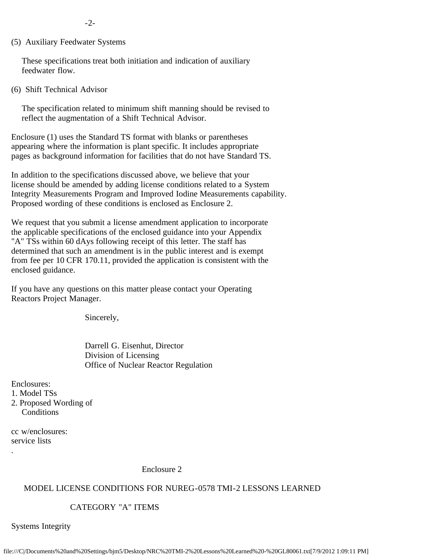-2-

(5) Auxiliary Feedwater Systems

 These specifications treat both initiation and indication of auxiliary feedwater flow.

(6) Shift Technical Advisor

 The specification related to minimum shift manning should be revised to reflect the augmentation of a Shift Technical Advisor.

Enclosure (1) uses the Standard TS format with blanks or parentheses appearing where the information is plant specific. It includes appropriate pages as background information for facilities that do not have Standard TS.

In addition to the specifications discussed above, we believe that your license should be amended by adding license conditions related to a System Integrity Measurements Program and Improved Iodine Measurements capability. Proposed wording of these conditions is enclosed as Enclosure 2.

We request that you submit a license amendment application to incorporate the applicable specifications of the enclosed guidance into your Appendix "A" TSs within 60 dAys following receipt of this letter. The staff has determined that such an amendment is in the public interest and is exempt from fee per 10 CFR 170.11, provided the application is consistent with the enclosed guidance.

If you have any questions on this matter please contact your Operating Reactors Project Manager.

Sincerely,

 Darrell G. Eisenhut, Director Division of Licensing Office of Nuclear Reactor Regulation

Enclosures:

- 1. Model TSs
- 2. Proposed Wording of **Conditions**

cc w/enclosures: service lists

.

Enclosure 2

#### MODEL LICENSE CONDITIONS FOR NUREG-0578 TMI-2 LESSONS LEARNED

### CATEGORY "A" ITEMS

Systems Integrity